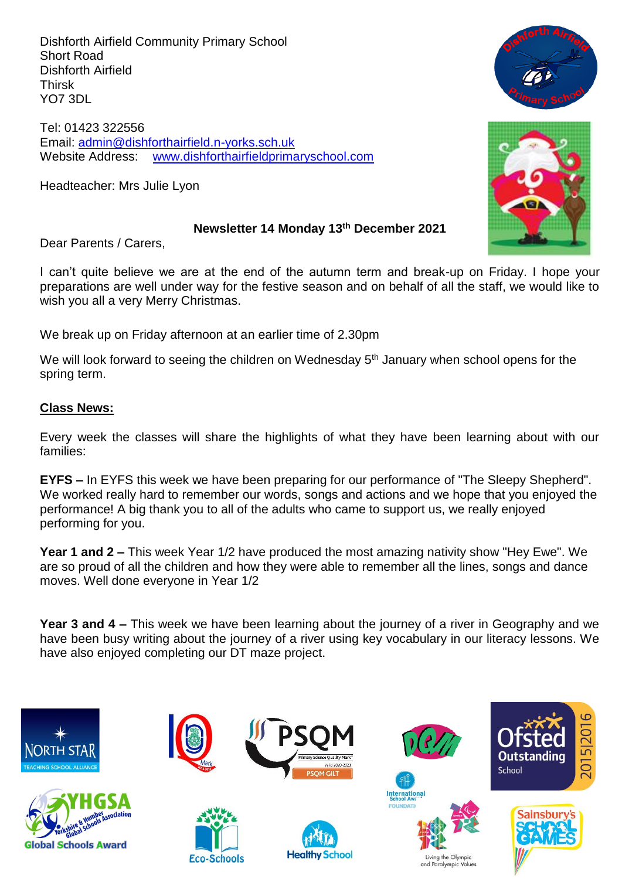Dishforth Airfield Community Primary School Short Road Dishforth Airfield Thirsk YO7 3DL

Tel: 01423 322556 Email: [admin@dishforthairfield.n-yorks.sch.uk](mailto:admin@dishforthairfield.n-yorks.sch.uk) Website Address: [www.dishforthairfieldprimaryschool.com](http://www.dishforthairfieldprimaryschool.com/)

Headteacher: Mrs Julie Lyon

## **Newsletter 14 Monday 13th December 2021**

Dear Parents / Carers,

I can't quite believe we are at the end of the autumn term and break-up on Friday. I hope your preparations are well under way for the festive season and on behalf of all the staff, we would like to wish you all a very Merry Christmas.

We break up on Friday afternoon at an earlier time of 2.30pm

We will look forward to seeing the children on Wednesday 5<sup>th</sup> January when school opens for the spring term.

## **Class News:**

Every week the classes will share the highlights of what they have been learning about with our families:

**EYFS –** In EYFS this week we have been preparing for our performance of "The Sleepy Shepherd". We worked really hard to remember our words, songs and actions and we hope that you enjoyed the performance! A big thank you to all of the adults who came to support us, we really enjoyed performing for you.

**Year 1 and 2 –** This week Year 1/2 have produced the most amazing nativity show "Hey Ewe". We are so proud of all the children and how they were able to remember all the lines, songs and dance moves. Well done everyone in Year 1/2

**Year 3 and 4 –** This week we have been learning about the journey of a river in Geography and we have been busy writing about the journey of a river using key vocabulary in our literacy lessons. We have also enjoyed completing our DT maze project.





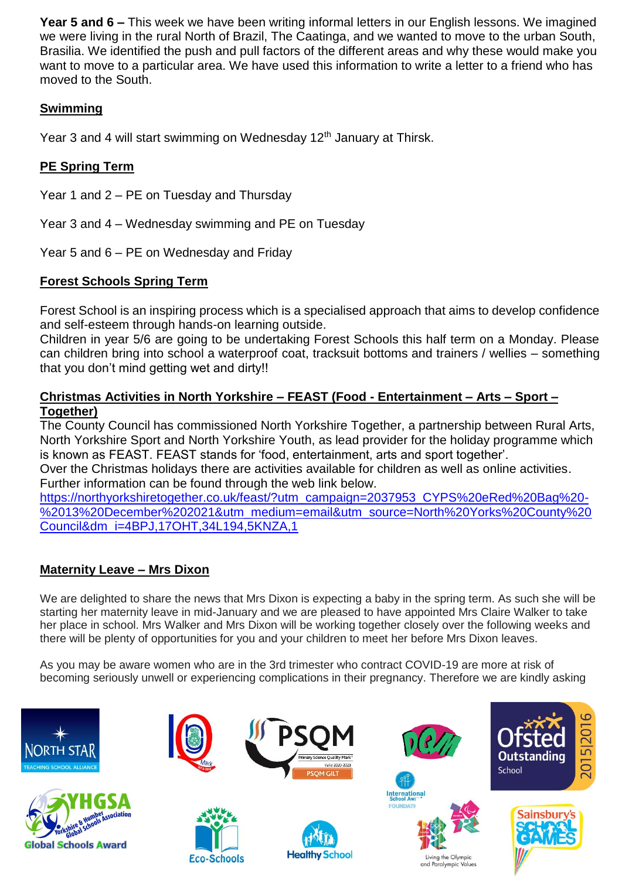**Year 5 and 6 –** This week we have been writing informal letters in our English lessons. We imagined we were living in the rural North of Brazil, The Caatinga, and we wanted to move to the urban South, Brasilia. We identified the push and pull factors of the different areas and why these would make you want to move to a particular area. We have used this information to write a letter to a friend who has moved to the South.

# **Swimming**

Year 3 and 4 will start swimming on Wednesday 12<sup>th</sup> January at Thirsk.

# **PE Spring Term**

Year 1 and 2 – PE on Tuesday and Thursday

Year 3 and 4 – Wednesday swimming and PE on Tuesday

Year 5 and 6 – PE on Wednesday and Friday

# **Forest Schools Spring Term**

Forest School is an inspiring process which is a specialised approach that aims to develop confidence and self-esteem through hands-on learning outside.

Children in year 5/6 are going to be undertaking Forest Schools this half term on a Monday. Please can children bring into school a waterproof coat, tracksuit bottoms and trainers / wellies – something that you don't mind getting wet and dirty!!

## **Christmas Activities in North Yorkshire – FEAST (Food - Entertainment – Arts – Sport – Together)**

The County Council has commissioned North Yorkshire Together, a partnership between Rural Arts, North Yorkshire Sport and North Yorkshire Youth, as lead provider for the holiday programme which is known as FEAST. FEAST stands for 'food, entertainment, arts and sport together'.

Over the Christmas holidays there are activities available for children as well as online activities. Further information can be found through the web link below.

[https://northyorkshiretogether.co.uk/feast/?utm\\_campaign=2037953\\_CYPS%20eRed%20Bag%20-](https://northyorkshiretogether.co.uk/feast/?utm_campaign=2037953_CYPS%20eRed%20Bag%20-%2013%20December%202021&utm_medium=email&utm_source=North%20Yorks%20County%20Council&dm_i=4BPJ,17OHT,34L194,5KNZA,1) [%2013%20December%202021&utm\\_medium=email&utm\\_source=North%20Yorks%20County%20](https://northyorkshiretogether.co.uk/feast/?utm_campaign=2037953_CYPS%20eRed%20Bag%20-%2013%20December%202021&utm_medium=email&utm_source=North%20Yorks%20County%20Council&dm_i=4BPJ,17OHT,34L194,5KNZA,1) [Council&dm\\_i=4BPJ,17OHT,34L194,5KNZA,1](https://northyorkshiretogether.co.uk/feast/?utm_campaign=2037953_CYPS%20eRed%20Bag%20-%2013%20December%202021&utm_medium=email&utm_source=North%20Yorks%20County%20Council&dm_i=4BPJ,17OHT,34L194,5KNZA,1)

# **Maternity Leave – Mrs Dixon**

We are delighted to share the news that Mrs Dixon is expecting a baby in the spring term. As such she will be starting her maternity leave in mid-January and we are pleased to have appointed Mrs Claire Walker to take her place in school. Mrs Walker and Mrs Dixon will be working together closely over the following weeks and there will be plenty of opportunities for you and your children to meet her before Mrs Dixon leaves.

As you may be aware women who are in the 3rd trimester who contract COVID-19 are more at risk of becoming seriously unwell or experiencing complications in their pregnancy. Therefore we are kindly asking

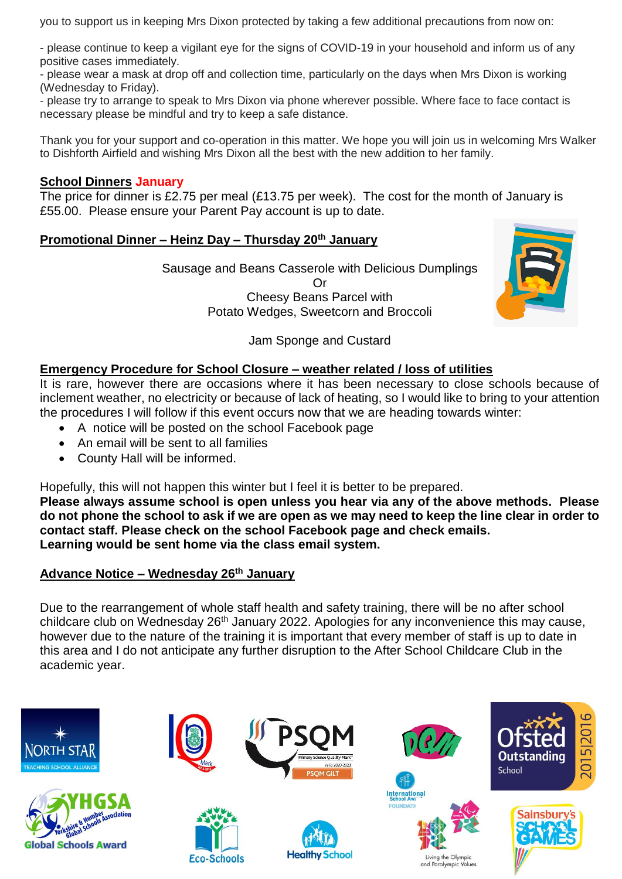you to support us in keeping Mrs Dixon protected by taking a few additional precautions from now on:

- please continue to keep a vigilant eye for the signs of COVID-19 in your household and inform us of any positive cases immediately.

- please wear a mask at drop off and collection time, particularly on the days when Mrs Dixon is working (Wednesday to Friday).

- please try to arrange to speak to Mrs Dixon via phone wherever possible. Where face to face contact is necessary please be mindful and try to keep a safe distance.

Thank you for your support and co-operation in this matter. We hope you will join us in welcoming Mrs Walker to Dishforth Airfield and wishing Mrs Dixon all the best with the new addition to her family.

#### **School Dinners January**

The price for dinner is £2.75 per meal (£13.75 per week). The cost for the month of January is £55.00. Please ensure your Parent Pay account is up to date.

#### **Promotional Dinner – Heinz Day – Thursday 20th January**

Sausage and Beans Casserole with Delicious Dumplings Or Cheesy Beans Parcel with Potato Wedges, Sweetcorn and Broccoli



#### Jam Sponge and Custard

## **Emergency Procedure for School Closure – weather related / loss of utilities**

It is rare, however there are occasions where it has been necessary to close schools because of inclement weather, no electricity or because of lack of heating, so I would like to bring to your attention the procedures I will follow if this event occurs now that we are heading towards winter:

- A notice will be posted on the school Facebook page
- An email will be sent to all families
- County Hall will be informed.

Hopefully, this will not happen this winter but I feel it is better to be prepared.

**Please always assume school is open unless you hear via any of the above methods. Please do not phone the school to ask if we are open as we may need to keep the line clear in order to contact staff. Please check on the school Facebook page and check emails. Learning would be sent home via the class email system.**

#### **Advance Notice – Wednesday 26th January**

Due to the rearrangement of whole staff health and safety training, there will be no after school childcare club on Wednesday 26<sup>th</sup> January 2022. Apologies for any inconvenience this may cause, however due to the nature of the training it is important that every member of staff is up to date in this area and I do not anticipate any further disruption to the After School Childcare Club in the academic year.

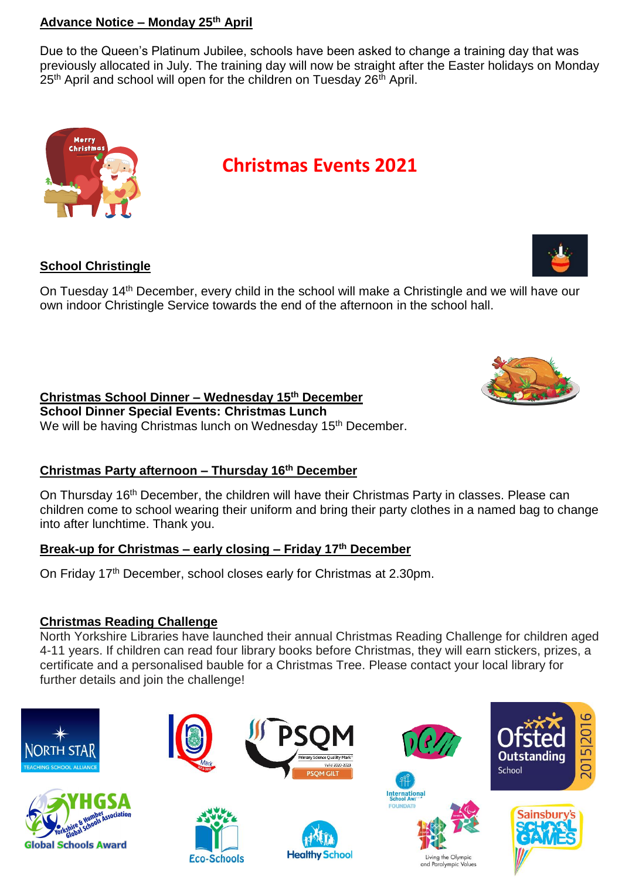## **Advance Notice – Monday 25th April**

Due to the Queen's Platinum Jubilee, schools have been asked to change a training day that was previously allocated in July. The training day will now be straight after the Easter holidays on Monday 25<sup>th</sup> April and school will open for the children on Tuesday 26<sup>th</sup> April.



# **Christmas Events 2021**

## **School Christingle**

On Tuesday 14th December, every child in the school will make a Christingle and we will have our own indoor Christingle Service towards the end of the afternoon in the school hall.

# **Christmas School Dinner – Wednesday 15 th December**

**School Dinner Special Events: Christmas Lunch**  We will be having Christmas lunch on Wednesday 15<sup>th</sup> December.

# **Christmas Party afternoon – Thursday 16 th December**

On Thursday 16<sup>th</sup> December, the children will have their Christmas Party in classes. Please can children come to school wearing their uniform and bring their party clothes in a named bag to change into after lunchtime. Thank you.

# **Break-up for Christmas – early closing – Friday 17 th December**

On Friday 17<sup>th</sup> December, school closes early for Christmas at 2.30pm.

# **Christmas Reading Challenge**

North Yorkshire Libraries have launched their annual Christmas Reading Challenge for children aged 4-11 years. If children can read four library books before Christmas, they will earn stickers, prizes, a certificate and a personalised bauble for a Christmas Tree. Please contact your local library for further details and join the challenge!











and Paralympic Values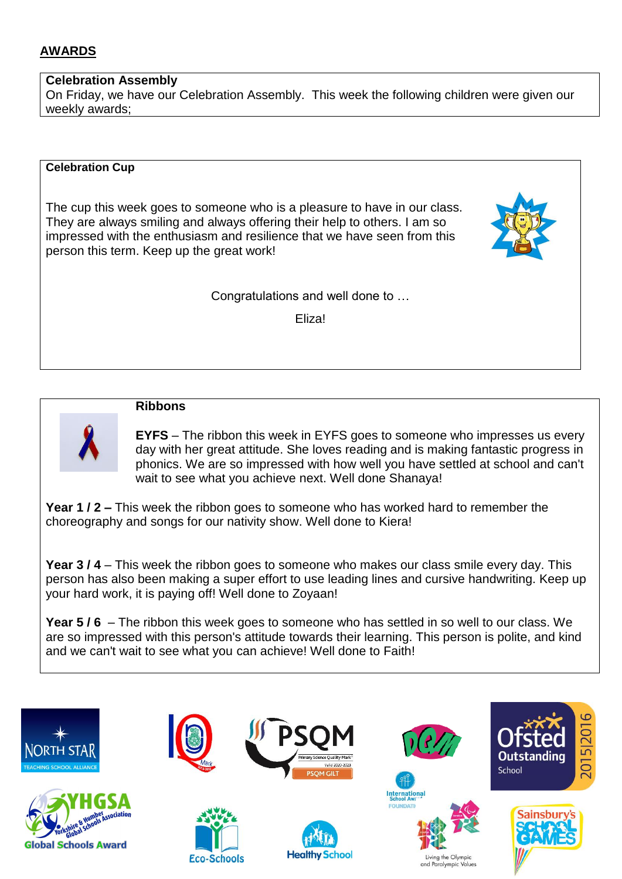## **AWARDS**

#### **Celebration Assembly**

On Friday, we have our Celebration Assembly. This week the following children were given our weekly awards;

#### **Celebration Cup**

The cup this week goes to someone who is a pleasure to have in our class. They are always smiling and always offering their help to others. I am so impressed with the enthusiasm and resilience that we have seen from this person this term. Keep up the great work!

Congratulations and well done to …

Eliza!



#### **Ribbons**

**EYFS** – The ribbon this week in EYFS goes to someone who impresses us every day with her great attitude. She loves reading and is making fantastic progress in phonics. We are so impressed with how well you have settled at school and can't wait to see what you achieve next. Well done Shanaya!

**Year 1 / 2 –** This week the ribbon goes to someone who has worked hard to remember the choreography and songs for our nativity show. Well done to Kiera!

**Year 3 / 4** – This week the ribbon goes to someone who makes our class smile every day. This person has also been making a super effort to use leading lines and cursive handwriting. Keep up your hard work, it is paying off! Well done to Zoyaan!

**Year 5 / 6** – The ribbon this week goes to someone who has settled in so well to our class. We are so impressed with this person's attitude towards their learning. This person is polite, and kind and we can't wait to see what you can achieve! Well done to Faith!

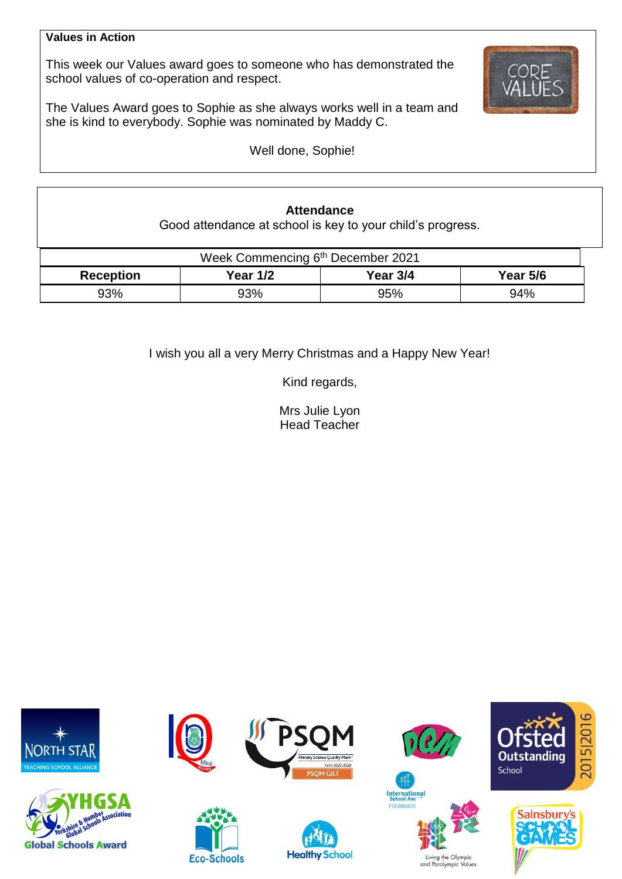#### **Values in Action**

This week our Values award goes to someone who has demonstrated the school values of co-operation and respect.

The Values Award goes to Sophie as she always works well in a team and she is kind to everybody. Sophie was nominated by Maddy C.

Well done, Sophie!

## **Attendance**

Good attendance at school is key to your child's progress.

| Week Commencing 6 <sup>th</sup> December 2021 |          |          |                 |  |  |  |
|-----------------------------------------------|----------|----------|-----------------|--|--|--|
| <b>Reception</b>                              | Year 1/2 | Year 3/4 | <b>Year 5/6</b> |  |  |  |
| 93%                                           | 93%      | 95%      | 94%             |  |  |  |

I wish you all a very Merry Christmas and a Happy New Year!

Kind regards,

Mrs Julie Lyon Head Teacher